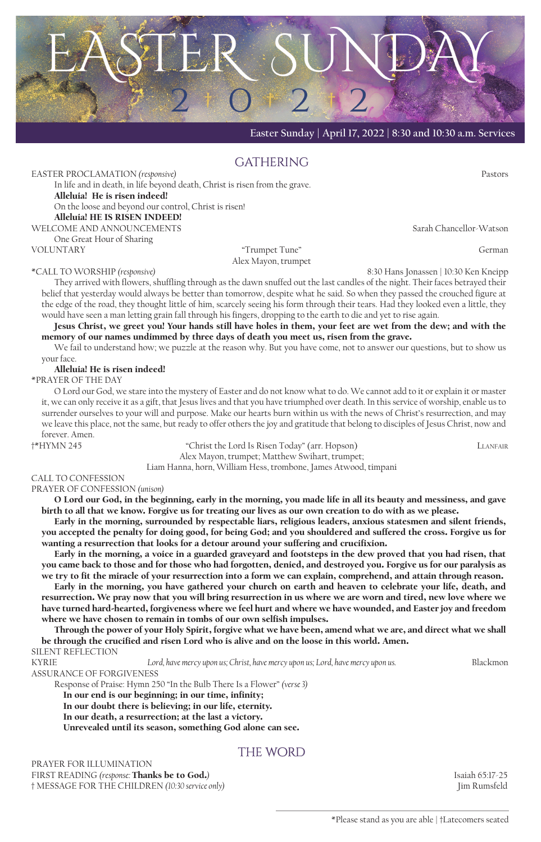

**Easter Sunday | April 17, 2022 | 8:30 and 10:30 a.m. Services**

## **GATHERING**

EASTER PROCLAMATION *(responsive)* Pastors In life and in death, in life beyond death, Christ is risen from the grave. Alleluia! He is risen indeed! On the loose and beyond our control, Christ is risen! Alleluia! HE IS RISEN INDEED! WELCOME AND ANNOUNCEMENTS Sarah Chancellor-Watson

One Great Hour of Sharing VOLUNTARY "Trumpet Tune" German

Alex Mayon, trumpet

\*CALL TO WORSHIP *(responsive)* 8:30 Hans Jonassen | 10:30 Ken Kneipp They arrived with flowers, shuffling through as the dawn snuffed out the last candles of the night. Their faces betrayed their belief that yesterday would always be better than tomorrow, despite what he said. So when they passed the crouched figure at the edge of the road, they thought little of him, scarcely seeing his form through their tears. Had they looked even a little, they

would have seen a man letting grain fall through his fingers, dropping to the earth to die and yet to rise again. Jesus Christ, we greet you! Your hands still have holes in them, your feet are wet from the dew; and with the memory of our names undimmed by three days of death you meet us, risen from the grave.

We fail to understand how; we puzzle at the reason why. But you have come, not to answer our questions, but to show us your face.

Alleluia! He is risen indeed!

\*PRAYER OF THE DAY

O Lord our God, we stare into the mystery of Easter and do not know what to do. We cannot add to it or explain it or master it, we can only receive it as a gift, that Jesus lives and that you have triumphed over death. In this service of worship, enable us to surrender ourselves to your will and purpose. Make our hearts burn within us with the news of Christ's resurrection, and may we leave this place, not the same, but ready to offer others the joy and gratitude that belong to disciples of Jesus Christ, now and forever. Amen.

†\*HYMN 245 "Christ the Lord Is Risen Today" (arr. Hopson) Llanfair Alex Mayon, trumpet; Matthew Swihart, trumpet;

Liam Hanna, horn, William Hess, trombone, James Atwood, timpani

## CALL TO CONFESSION

PRAYER OF CONFESSION *(unison)*

O Lord our God, in the beginning, early in the morning, you made life in all its beauty and messiness, and gave birth to all that we know. Forgive us for treating our lives as our own creation to do with as we please.

Early in the morning, surrounded by respectable liars, religious leaders, anxious statesmen and silent friends, you accepted the penalty for doing good, for being God; and you shouldered and suffered the cross. Forgive us for wanting a resurrection that looks for a detour around your suffering and crucifixion.

Early in the morning, a voice in a guarded graveyard and footsteps in the dew proved that you had risen, that you came back to those and for those who had forgotten, denied, and destroyed you. Forgive us for our paralysis as we try to fit the miracle of your resurrection into a form we can explain, comprehend, and attain through reason.

Early in the morning, you have gathered your church on earth and heaven to celebrate your life, death, and resurrection. We pray now that you will bring resurrection in us where we are worn and tired, new love where we have turned hard-hearted, forgiveness where we feel hurt and where we have wounded, and Easter joy and freedom where we have chosen to remain in tombs of our own selfish impulses.

Through the power of your Holy Spirit, forgive what we have been, amend what we are, and direct what we shall be through the crucified and risen Lord who is alive and on the loose in this world. Amen.

SILENT REFLECTION

KYRIE *Lord, have mercy upon us; Christ, have mercy upon us; Lord, have mercy upon us.* Blackmon

ASSURANCE OF FORGIVENESS

Response of Praise: Hymn 250 "In the Bulb There Is a Flower" *(verse 3)*

In our end is our beginning; in our time, infinity;

In our doubt there is believing; in our life, eternity.

In our death, a resurrection; at the last a victory.

Unrevealed until its season, something God alone can see.

## the word

PRAYER FOR ILLUMINATION FIRST READING *(response:* Thanks be to God.*)* Isaiah 65:17-25 † MESSAGE FOR THE CHILDREN *(10:30 service only)* Jim Rumsfeld